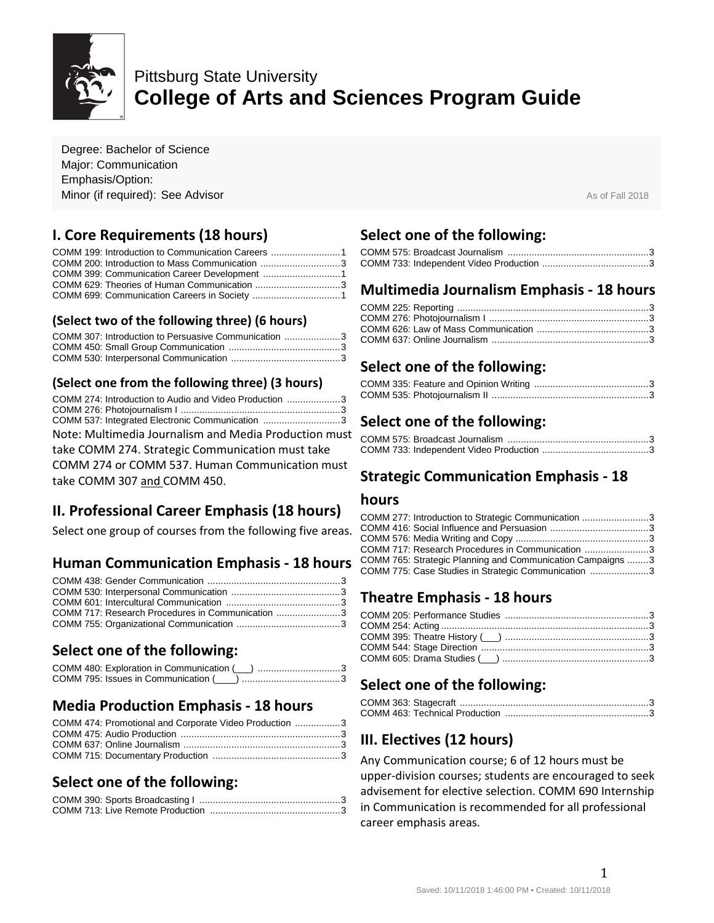

# Pittsburg State University **College of Arts and Sciences Program Guide**

Degree: Bachelor of Science Major: Communication Emphasis/Option: **Minor (if required): See Advisor Assume As of Fall 2018** As of Fall 2018

## **I. Core Requirements (18 hours)**

| COMM 200: Introduction to Mass Communication 3 |  |
|------------------------------------------------|--|
|                                                |  |
|                                                |  |
|                                                |  |

#### **(Select two of the following three) (6 hours)**

| COMM 307: Introduction to Persuasive Communication 3 |  |
|------------------------------------------------------|--|
|                                                      |  |
|                                                      |  |

#### **(Select one from the following three) (3 hours)**

| COMM 274: Introduction to Audio and Video Production 3 |  |
|--------------------------------------------------------|--|
|                                                        |  |
| COMM 537: Integrated Electronic Communication 3        |  |
| Note: Multimedia Journalism and Media Production must  |  |

take COMM 274. Strategic Communication must take

COMM 274 or COMM 537. Human Communication must take COMM 307 and COMM 450.

## **II. Professional Career Emphasis (18 hours)**

Select one group of courses from the following five areas.

## **Human Communication Emphasis - 18 hours**

| COMM 717: Research Procedures in Communication 3 |  |
|--------------------------------------------------|--|
|                                                  |  |

## **Select one of the following:**

#### **Media Production Emphasis - 18 hours**

| COMM 474: Promotional and Corporate Video Production 3 |  |
|--------------------------------------------------------|--|
|                                                        |  |
|                                                        |  |
|                                                        |  |

#### **Select one of the following:**

### **Select one of the following:**

#### **Multimedia Journalism Emphasis - 18 hours**

### **Select one of the following:**

### **Select one of the following:**

#### **Strategic Communication Emphasis - 18**

#### **hours**

| COMM 277: Introduction to Strategic Communication 3        |  |
|------------------------------------------------------------|--|
|                                                            |  |
|                                                            |  |
| COMM 717: Research Procedures in Communication 3           |  |
| COMM 765: Strategic Planning and Communication Campaigns 3 |  |
| COMM 775: Case Studies in Strategic Communication 3        |  |

#### **Theatre Emphasis - 18 hours**

## **Select one of the following:**

## **III. Electives (12 hours)**

Any Communication course; 6 of 12 hours must be upper-division courses; students are encouraged to seek advisement for elective selection. COMM 690 Internship in Communication is recommended for all professional career emphasis areas.